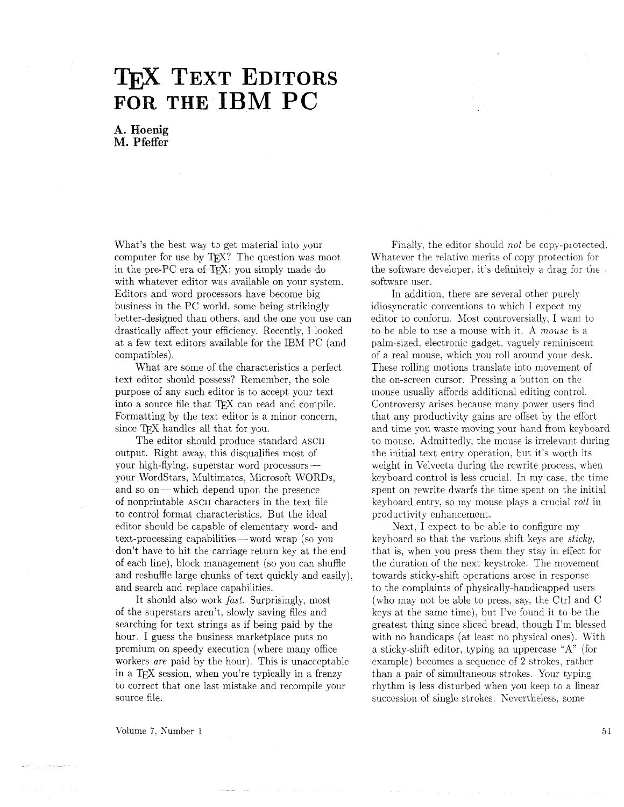# **TEX TEXT EDITORS**<br>FOR THE IBM PC

**A. Hoenig M. Pfeffer** 

What's the best way to get material into your computer for use by  $T_{F}X$ ? The question was moot in the pre-PC era of TEX; you simply made do with whatever editor was available on your system. Editors and word processors have become big business in the PC world. some being strikingly better-designed than others, and the one you use can drastically affect your efficiency. Recently, I looked at a few text editors available for the IBA1 PC (and compatibles).

What are some of the characteristics a perfect text editor should possess? Remember, the sole purpose of any such editor is to accept your text into a source file that TFX can read and compile. Formatting by the text editor is a minor concern. since TEX handles all that for you.

The editor should produce standard ASCII output. Right away, this disqualifies most of your high-flying, superstar word processorsyour Wordstars, Multimates, Microsoft WORDS, and so on-which depend upon the presence of nonprintable ASCII characters in the text file to control format characteristics. But the ideal editor should be capable of elementary word- and to control format characteristics. But the ideal<br>editor should be capable of elementary word- and<br>text-processing capabilities — word wrap (so you don't have to hit the carriage return key at the end of each line), block management (so you can shuffle and reshuffle large chunks of text quickly and easily), and search and replace capabilities.

It should also work fast. Surprisingly. most of the superstars aren't, slowly saving files and searching for text strings as if being paid by the hour. I guess the business marketplace puts no premium on speedy execution (where many office workers are paid by the hour). This is unacceptable in a TFX session, when you're typically in a frenzy to correct that one last mistake and recompile your source file.

Finally, the editor should not be copy-protected. Whatever the relative merits of copy protection for the software developer, it's definitely a drag for the software user.

In addition, there are several other purely idiosyncratic conventions to which I expect my editor to conform. Most controversially. I want to to be able to use a mouse with it. A mouse is a palm-sized, electronic gadget, vaguely reminiscent of a real mouse, which you roll around your desk. These rolling motions translate into movement of the on-screen cursor. Pressing a button on the mouse usually affords additional editing control. Controversy arises because many power users find that any productivity gains are offset by the effort and time you waste moving your hand from keyboard to mouse. Admittedly, the mouse is irrelevant during the initial text entry operation, but it's worth its weight in Velveeta during the rewrite process, when keyboard contiol is less crucial. In my case. the time spent on rewrite dwarfs the time spent on the initial keyboard entry, so my mouse plays a crucial roll in productivity enhancement.

Next, I expect to be able to configure my keyboard so that the various shift keys are sticky, that is, when you press them they stay in effect for the duration of the next keystroke. The movement towards sticky-shift operations arose in response to the complaints of physically-handicapped users (who may not be able to press, say. the Ctrl and C keys at the same time). but I've found it to be the greatest thing since sliced bread, though I'm blessed with no handicaps (at least no physical ones). With a sticky-shift editor, typing an uppercase "A" (for example) becomes a sequence of 2 strokes, rather than a pair of simultaneous strokes. Your typing rhythm is less disturbed when you keep to a linear succession of single strokes. Kevertheless, some

Volume *7.* Number 1

51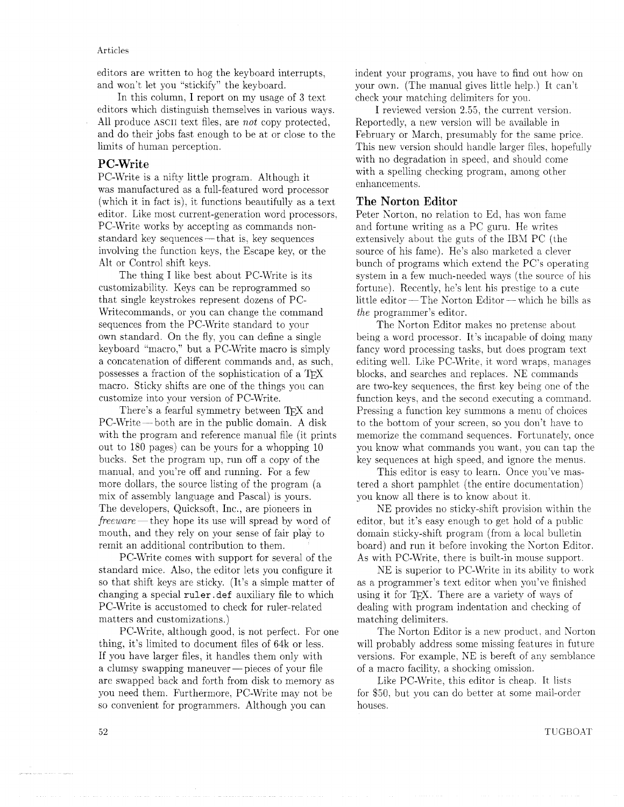#### Articles

editors are written to hog the keyboard interrupts, and won't let you "stickify" the keyboard.

In this column, I report on my usage of **3** text editors which distinguish themselves in various ways. All produce ASCII text files, are not copy protected, and do their jobs fast enough to be at or close to the limits of human perception.

# **PC-Write**

PC-Write is a nifty little program. Although it was manufactured as a full-featured word processor (which it in fact is), it functions beautifully as a text editor. Like most current-generation word processors. PC-Write works by accepting as commands nonstandard key sequences — that is, key sequences involving the function keys, the Escape key. or the Alt or Control shift keys.

The thing I like best about PC-Write is its customizability. Keys can be reprogrammed so that single keystrokes represent dozens of PC-Writecommands, or you can change the command sequences from the PC-Write standard to your own standard. On the fly, you can define a single keyboard "macro," but a PC-Write macro is simply a concatenation of different commands and, as such. possesses a fraction of the sophistication of a TEX macro. Sticky shifts are one of the things you can customize into your version of PC-Write.

There's a fearful symmetry between TFX and PC-Write-both are in the public domain. A disk with the program and reference manual file (it prints out to 180 pages) can be yours for a whopping 10 bucks. Set the program up, run off a copy of the manual, and you're off and running. For a few more dollars, the source listing of the program (a mix of assembly language and Pascal) is yours. The developers. Quicksoft. Inc., are pioneers in  $freeware$  they hope its use will spread by word of mouth. and they rely on your sense of fair play to remit an additional contribution to them.

PC-Write comes with support for several of the standard mice. Also. the editor lets you configure it so that shift keys are sticky. (It's a simple matter of changing a special ruler. def auxiliary file to which PC-Write is accustomed to check for ruler-related matters and customizations.)

PC-Write, although good, is not perfect. For one thing. it's limited to document files of 64k or less. If you have larger files, it handles them only with a clumsy swapping maneuver — pieces of your file are swapped back and forth from disk to memory as you need them. Furthermore, PC-Write may not be so convenient for programmers. Although you can

indent your programs, you have to find out how on your own. (The manual gives little help ) It can't check your matching delimiters for you.

I reviewed version 2.55, the current version. Reportedly. a new version will be available in February or March, presumably for the same price. This new version should handle larger files, hopefully with no degradation in speed, and should come with a spelling checking program, among other enhancements.

# **The Norton Editor**

Peter Norton, no relation to Ed, has won fame and fortune writing as a PC guru. He writes extensively about the guts of the IBN PC (the source of his fame). He's also marketed a clever bunch of programs which extend the PC's operating system in a few much-needed ways (the source of his fortune). Recently, he's lent his prestige to a cute little editor - The Norton Editor - which he bills as the programmer's editor.

The Korton Editor makes no pretense about being a word processor. It's incapable of doing many fancy word processing tasks, but does program text editing well. Like PC-Write. it word wraps. manages blocks. and searches and replaces. NE commands are two-key sequences, the first key being one of the function keys. and the second executing a command. Pressing a function key summons a menu of choices to the bottom of your screen, so you don't have to memorize the command sequences. Fortunately, once you know what commands you want. you can tap the key sequences at high speed, and ignore the menus.

This editor is easy to learn. Once you've mastered a short pamphlet (the entire documentation) you know all there is to know about it.

NE provides no sticky-shift provision within the editor, but it's easy enough to get hold of a public domain sticky-shift program (from a local bulletin board) and run it before invoking the Korton Editor. As with PC-Write, there is built-in mouse support.

NE is superior to PC-Write in its ability to work as a programmer's text editor when you've finished using it for TFX. There are a variety of ways of dealing with program indentation and checking of matching delimiters.

The Norton Editor is a new product. and Norton will probably address some missing features in future versions. For example, NE is bereft of any semblance of a macro facility. a shocking omission.

Like PC-Write, this editor is cheap. It lists for \$50, but you can do better at some mail-order houses.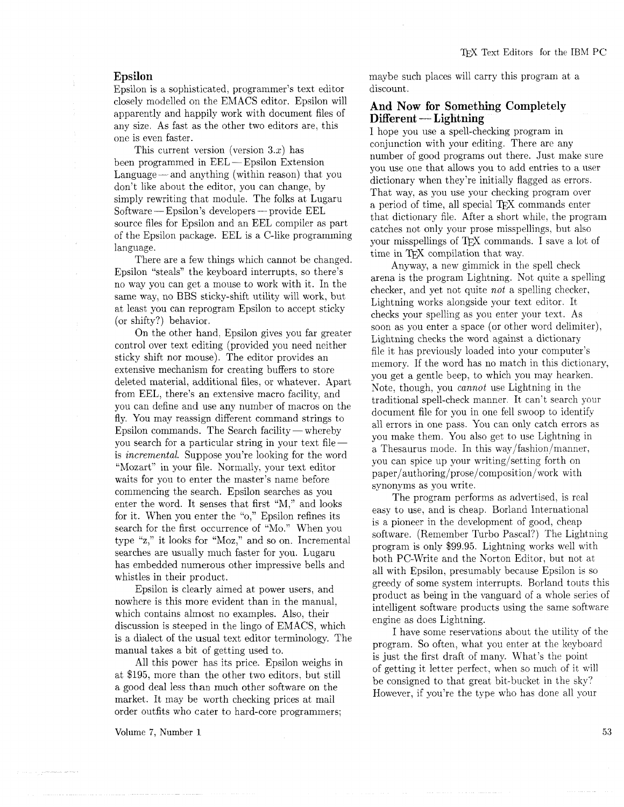# **Epsilon**

Epsilon is a sophisticated, programmer's text editor closely modelled on the EMACS editor. Epsilon will apparently and happily work with document files of any size. As fast as the other two editors are. this one is even faster.

This current version (version  $3.x$ ) has been programmed in EEL - Epsilon Extension Language  $-$  and anything (within reason) that you don't like about the editor, you can change, by Software — Epsilon's developers — provide EEL<br>Software — Epsilon's developers — provide EEL<br>source files for Fusilup and an EEL source files for Fusilup and an EEL source files for Epsilon and an EEL compiler as part of the Epsilon package. EEL is a C-like programming language.

There are a few things which cannot be changed. Epsilon "steals" the keyboard interrupts, so there's no way you can get a mouse to work with it. In the same way, no BBS sticky-shift utility will work, but at least you can reprogram Epsilon to accept sticky (or shifty?) behavior.

On the other hand, Epsilon gives you far greater control over text editing (provided you need neither sticky shift nor mouse). The editor provides an extensive mechanism for creating buffers to store deleted material, additional files, or whatever. Apart from EEL, there's an extensive macro facility, and you can define and use any number of macros on the fly. You may reassign different command strings to Epsilon commands. The Search facility  $-$  whereby you search for a particular string in your text fileis *incremental*. Suppose you're looking for the word "Mozart" in your file. Normally, your text editor waits for you to enter the master's name before commencing the search. Epsilon searches as you enter the word. It senses that first "M," and looks for it. When you enter the "0," Epsilon refines its search for the first occurrence of "Mo." When you type " $z$ ," it looks for "Moz," and so on. Incremental searches are usually much faster for you. Lugaru has embedded numerous other impressive bells and whistles in their product.

Epsilon is clearly aimed at power users, and nowhere is this more evident than in the manual, which contains almost no examples. Also, their discussion is steeped in the lingo of EMACS, which is a dialect of the usual text editor terminology. The manual takes a bit of getting used to.

All this power has its price. Epsilon weighs in at \$195, more than the other two editors, but still a good deal less than much other software on the market. It may be worth checking prices at mail order outfits who cater to hard-core programmers:

**Volume 7, Number 1** 

maybe such places will carry this program at a discount.

# **And Now for Something Completely And Now for Somethi<br>Different — Lightning<br>Lhope you use a spell-che**

I hope you use a spell-checking program in conjunction with your editing. There are any number of good programs out there. Just make sure you use one that allows you to add entries to a user dictionary when they're initially flagged as errors. That way. as you use your checking program over a period of time, all special TFX commands enter that dictionary file. After a short while, the program catches not only your prose misspellings, but also your misspellings of TFX commands. I save a lot of time in TFX compilation that way.

Anyway, a new gimmick in the spell check arena is the program Lightning. Not quite a spelling checker, and yet not quite *not* a spelling checker, Lightning works alongside your text editor. It checks your spelling as you enter your text. As soon as you enter a space (or other word delimiter), Lightning checks the word against a dictionary file it has previously loaded into your computer's memory. If the word has no match in this dictionary, you get a gentle beep. to which you may hearken. Note, though, you *cannot* use Lightning in the traditional spell-check manner It can't search your document file for you in one fell swoop to identify all errors in one pass. You can only catch errors as you make them. You also get to use Lightning in a Thesaurus mode. In this way/fashion/manner, you can spice up your writing/setting forth on paper/authoring/prose/composition/work with synonyms as you write.

The program performs as advertised, is real easy to use, and is cheap. Borland International is a pioneer in the development of good, cheap software. (Remember Turbo Pascal?) The Lightning program is only \$99.95. Lightning works well with both PC-Write and the Norton Editor, but not at all with Epsilon, presumably because Epsilon is so greedy of some system interrupts. Borland touts this product as being in the vanguard of a whole series of intelligent software products using the same software engine as does Lightning.

I have some reservations about the utility of the program. So often, what you enter at the keyboard is just the first draft of many. What's the point of getting it letter perfect, when so much of it will be consigned to that great bit-bucket in the sky'? However, if you're the type who has done all your

53